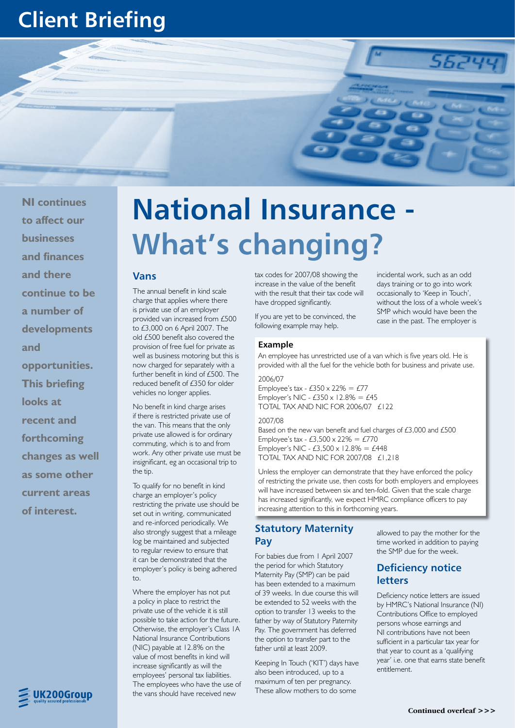# **Client Briefing**

**NI continues to affect our businesses and finances and there continue to be a number of developments and opportunities. This briefing looks at recent and forthcoming changes as well as some other current areas of interest.**

# UK200Group

# **National Insurance - What's changing?**

#### **Vans**

The annual benefit in kind scale charge that applies where there is private use of an employer provided van increased from £500 to £3,000 on 6 April 2007. The old £500 benefit also covered the provision of free fuel for private as well as business motoring but this is now charged for separately with a further benefit in kind of £500. The reduced benefit of £350 for older vehicles no longer applies.

No benefit in kind charge arises if there is restricted private use of the van. This means that the only private use allowed is for ordinary commuting, which is to and from work. Any other private use must be insignificant, eg an occasional trip to the tip.

To qualify for no benefit in kind charge an employer's policy restricting the private use should be set out in writing, communicated and re-inforced periodically. We also strongly suggest that a mileage log be maintained and subjected to regular review to ensure that it can be demonstrated that the employer's policy is being adhered to.

Where the employer has not put a policy in place to restrict the private use of the vehicle it is still possible to take action for the future. Otherwise, the employer's Class 1A National Insurance Contributions (NIC) payable at 12.8% on the value of most benefits in kind will increase significantly as will the employees' personal tax liabilities. The employees who have the use of the vans should have received new

tax codes for 2007/08 showing the increase in the value of the benefit with the result that their tax code will have dropped significantly.

If you are yet to be convinced, the following example may help.

#### **Example**

An employee has unrestricted use of a van which is five years old. He is provided with all the fuel for the vehicle both for business and private use.

2006/07

Employee's tax -  $£350 \times 22\% = £77$ Employer's NIC -  $£350 \times 12.8\% = £45$ TOTAL TAX AND NIC FOR 2006/07 £122

#### 2007/08

Based on the new van benefit and fuel charges of £3,000 and £500 Employee's tax -  $\text{\textsterling}3,500 \times 22\% = \text{\textsterling}770$ Employer's NIC - £3,500 x 12.8% = £448 TOTAL TAX AND NIC FOR 2007/08 £1,218

Unless the employer can demonstrate that they have enforced the policy of restricting the private use, then costs for both employers and employees will have increased between six and ten-fold. Given that the scale charge has increased significantly, we expect HMRC compliance officers to pay increasing attention to this in forthcoming years.

#### **Statutory Maternity Pay**

For babies due from 1 April 2007 the period for which Statutory Maternity Pay (SMP) can be paid has been extended to a maximum of 39 weeks. In due course this will be extended to 52 weeks with the option to transfer 13 weeks to the father by way of Statutory Paternity Pay. The government has deferred the option to transfer part to the father until at least 2009.

Keeping In Touch ('KIT') days have also been introduced, up to a maximum of ten per pregnancy. These allow mothers to do some

allowed to pay the mother for the time worked in addition to paying the SMP due for the week.

incidental work, such as an odd days training or to go into work occasionally to 'Keep in Touch', without the loss of a whole week's SMP which would have been the case in the past. The employer is

5624

## **Deficiency notice letters**

Deficiency notice letters are issued by HMRC's National Insurance (NI) Contributions Office to employed persons whose earnings and NI contributions have not been sufficient in a particular tax year for that year to count as a 'qualifying year' i.e. one that earns state benefit entitlement.